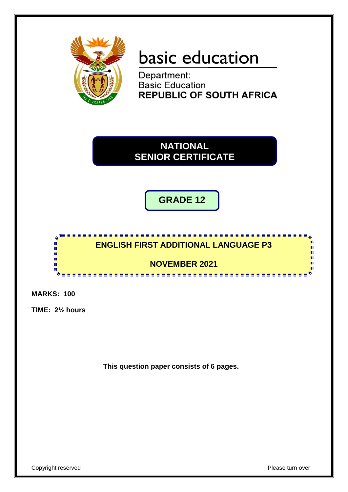

# basic education

Department: **Basic Education REPUBLIC OF SOUTH AFRICA** 

**NATIONAL SENIOR CERTIFICATE**

**GRADE 12**



**MARKS: 100**

**TIME: 2½ hours**

**This question paper consists of 6 pages.**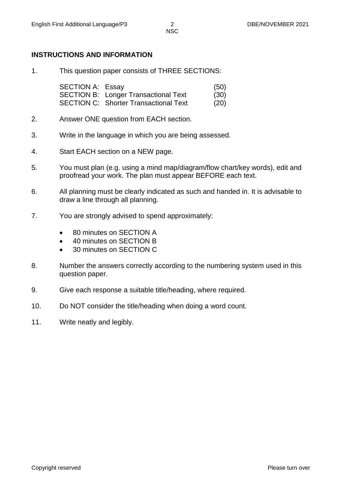### **INSTRUCTIONS AND INFORMATION**

1. This question paper consists of THREE SECTIONS:

SECTION A: Essay (50) SECTION B: Longer Transactional Text (30) SECTION C: Shorter Transactional Text (20)

- 2. Answer ONE question from EACH section.
- 3. Write in the language in which you are being assessed.
- 4. Start EACH section on a NEW page.
- 5. You must plan (e.g. using a mind map/diagram/flow chart/key words), edit and proofread your work. The plan must appear BEFORE each text.
- 6. All planning must be clearly indicated as such and handed in. It is advisable to draw a line through all planning.
- 7. You are strongly advised to spend approximately:
	- 80 minutes on SECTION A
	- 40 minutes on SECTION B
	- 30 minutes on SECTION C
- 8. Number the answers correctly according to the numbering system used in this question paper.
- 9. Give each response a suitable title/heading, where required.
- 10. Do NOT consider the title/heading when doing a word count.
- 11. Write neatly and legibly.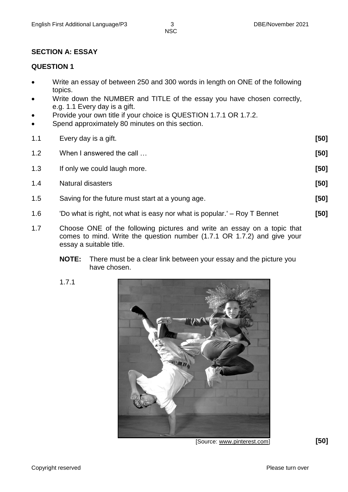**NSC** 

# **SECTION A: ESSAY**

# **QUESTION 1**

- Write an essay of between 250 and 300 words in length on ONE of the following topics.
- Write down the NUMBER and TITLE of the essay you have chosen correctly, e.g. 1.1 Every day is a gift.
- Provide your own title if your choice is QUESTION 1.7.1 OR 1.7.2.
- Spend approximately 80 minutes on this section.
- 1.1 Every day is a gift. **[50]** 1.2 When I answered the call … **[50]** 1.3 If only we could laugh more. **[50]** 1.4 Natural disasters **[50]** 1.5 Saving for the future must start at a young age. **[50]** 1.6 'Do what is right, not what is easy nor what is popular.' – Roy T Bennet **[50]**
- 1.7 Choose ONE of the following pictures and write an essay on a topic that comes to mind. Write the question number (1.7.1 OR 1.7.2) and give your essay a suitable title.
	- **NOTE:** There must be a clear link between your essay and the picture you have chosen.
	- 1.7.1



[Source: www.pinterest.com] **[50]**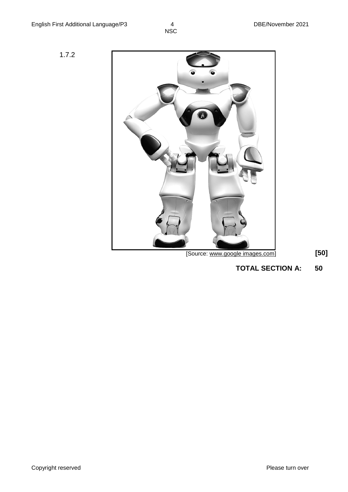$\frac{4}{NSC}$ 



**TOTAL SECTION A: 50**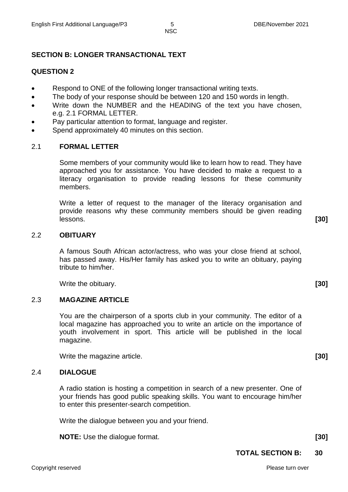# **SECTION B: LONGER TRANSACTIONAL TEXT**

#### **QUESTION 2**

- Respond to ONE of the following longer transactional writing texts.
- The body of your response should be between 120 and 150 words in length.
- Write down the NUMBER and the HEADING of the text you have chosen, e.g. 2.1 FORMAL LETTER.
- Pay particular attention to format, language and register.
- Spend approximately 40 minutes on this section.

#### 2.1 **FORMAL LETTER**

Some members of your community would like to learn how to read. They have approached you for assistance. You have decided to make a request to a literacy organisation to provide reading lessons for these community members.

Write a letter of request to the manager of the literacy organisation and provide reasons why these community members should be given reading lessons. **[30]**

#### 2.2 **OBITUARY**

A famous South African actor/actress, who was your close friend at school, has passed away. His/Her family has asked you to write an obituary, paying tribute to him/her.

Write the obituary. **[30]**

#### 2.3 **MAGAZINE ARTICLE**

You are the chairperson of a sports club in your community. The editor of a local magazine has approached you to write an article on the importance of youth involvement in sport. This article will be published in the local magazine.

Write the magazine article. **[30]**

#### 2.4 **DIALOGUE**

A radio station is hosting a competition in search of a new presenter. One of your friends has good public speaking skills. You want to encourage him/her to enter this presenter-search competition.

Write the dialogue between you and your friend.

**NOTE:** Use the dialogue format. **[30]**